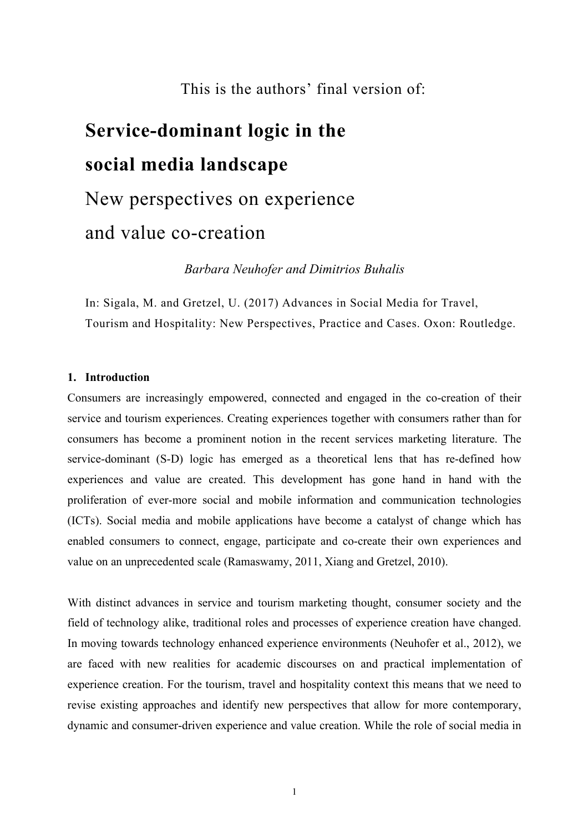This is the authors' final version of:

# **Service-dominant logic in the social media landscape** New perspectives on experience and value co-creation

*Barbara Neuhofer and Dimitrios Buhalis*

In: Sigala, M. and Gretzel, U. (2017) Advances in Social Media for Travel, Tourism and Hospitality: New Perspectives, Practice and Cases. Oxon: Routledge.

# **1. Introduction**

Consumers are increasingly empowered, connected and engaged in the co-creation of their service and tourism experiences. Creating experiences together with consumers rather than for consumers has become a prominent notion in the recent services marketing literature. The service-dominant (S-D) logic has emerged as a theoretical lens that has re-defined how experiences and value are created. This development has gone hand in hand with the proliferation of ever-more social and mobile information and communication technologies (ICTs). Social media and mobile applications have become a catalyst of change which has enabled consumers to connect, engage, participate and co-create their own experiences and value on an unprecedented scale (Ramaswamy, 2011, Xiang and Gretzel, 2010).

With distinct advances in service and tourism marketing thought, consumer society and the field of technology alike, traditional roles and processes of experience creation have changed. In moving towards technology enhanced experience environments (Neuhofer et al., 2012), we are faced with new realities for academic discourses on and practical implementation of experience creation. For the tourism, travel and hospitality context this means that we need to revise existing approaches and identify new perspectives that allow for more contemporary, dynamic and consumer-driven experience and value creation. While the role of social media in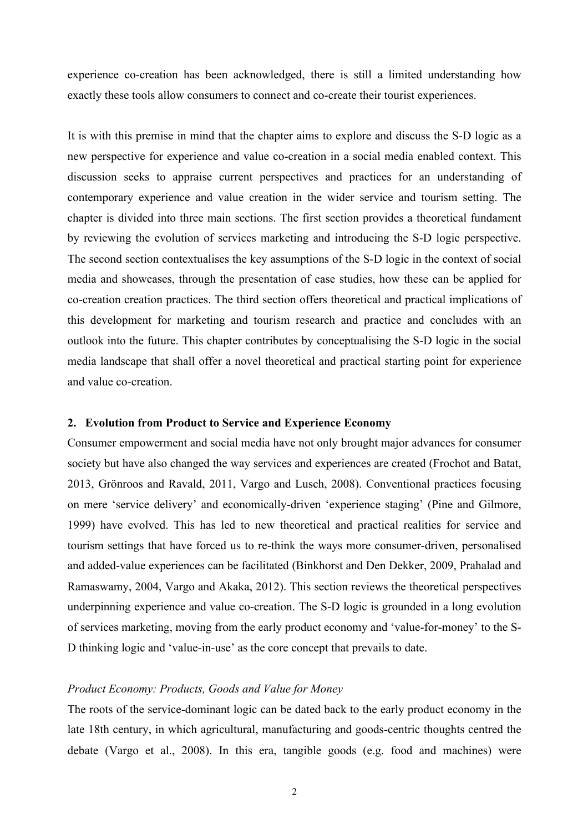experience co-creation has been acknowledged, there is still a limited understanding how exactly these tools allow consumers to connect and co-create their tourist experiences.

It is with this premise in mind that the chapter aims to explore and discuss the S-D logic as a new perspective for experience and value co-creation in a social media enabled context. This discussion seeks to appraise current perspectives and practices for an understanding of contemporary experience and value creation in the wider service and tourism setting. The chapter is divided into three main sections. The first section provides a theoretical fundament by reviewing the evolution of services marketing and introducing the S-D logic perspective. The second section contextualises the key assumptions of the S-D logic in the context of social media and showcases, through the presentation of case studies, how these can be applied for co-creation creation practices. The third section offers theoretical and practical implications of this development for marketing and tourism research and practice and concludes with an outlook into the future. This chapter contributes by conceptualising the S-D logic in the social media landscape that shall offer a novel theoretical and practical starting point for experience and value co-creation.

## **2. Evolution from Product to Service and Experience Economy**

Consumer empowerment and social media have not only brought major advances for consumer society but have also changed the way services and experiences are created (Frochot and Batat, 2013, Grönroos and Ravald, 2011, Vargo and Lusch, 2008). Conventional practices focusing on mere 'service delivery' and economically-driven 'experience staging' (Pine and Gilmore, 1999) have evolved. This has led to new theoretical and practical realities for service and tourism settings that have forced us to re-think the ways more consumer-driven, personalised and added-value experiences can be facilitated (Binkhorst and Den Dekker, 2009, Prahalad and Ramaswamy, 2004, Vargo and Akaka, 2012). This section reviews the theoretical perspectives underpinning experience and value co-creation. The S-D logic is grounded in a long evolution of services marketing, moving from the early product economy and 'value-for-money' to the S-D thinking logic and 'value-in-use' as the core concept that prevails to date.

#### *Product Economy: Products, Goods and Value for Money*

The roots of the service-dominant logic can be dated back to the early product economy in the late 18th century, in which agricultural, manufacturing and goods-centric thoughts centred the debate (Vargo et al., 2008). In this era, tangible goods (e.g. food and machines) were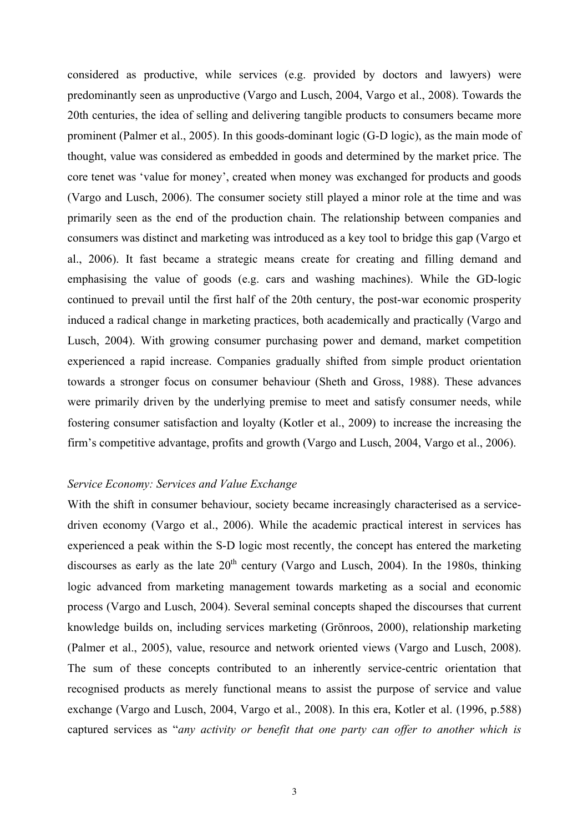considered as productive, while services (e.g. provided by doctors and lawyers) were predominantly seen as unproductive (Vargo and Lusch, 2004, Vargo et al., 2008). Towards the 20th centuries, the idea of selling and delivering tangible products to consumers became more prominent (Palmer et al., 2005). In this goods-dominant logic (G-D logic), as the main mode of thought, value was considered as embedded in goods and determined by the market price. The core tenet was 'value for money', created when money was exchanged for products and goods (Vargo and Lusch, 2006). The consumer society still played a minor role at the time and was primarily seen as the end of the production chain. The relationship between companies and consumers was distinct and marketing was introduced as a key tool to bridge this gap (Vargo et al., 2006). It fast became a strategic means create for creating and filling demand and emphasising the value of goods (e.g. cars and washing machines). While the GD-logic continued to prevail until the first half of the 20th century, the post-war economic prosperity induced a radical change in marketing practices, both academically and practically (Vargo and Lusch, 2004). With growing consumer purchasing power and demand, market competition experienced a rapid increase. Companies gradually shifted from simple product orientation towards a stronger focus on consumer behaviour (Sheth and Gross, 1988). These advances were primarily driven by the underlying premise to meet and satisfy consumer needs, while fostering consumer satisfaction and loyalty (Kotler et al., 2009) to increase the increasing the firm's competitive advantage, profits and growth (Vargo and Lusch, 2004, Vargo et al., 2006).

# *Service Economy: Services and Value Exchange*

With the shift in consumer behaviour, society became increasingly characterised as a servicedriven economy (Vargo et al., 2006). While the academic practical interest in services has experienced a peak within the S-D logic most recently, the concept has entered the marketing discourses as early as the late  $20<sup>th</sup>$  century (Vargo and Lusch, 2004). In the 1980s, thinking logic advanced from marketing management towards marketing as a social and economic process (Vargo and Lusch, 2004). Several seminal concepts shaped the discourses that current knowledge builds on, including services marketing (Grönroos, 2000), relationship marketing (Palmer et al., 2005), value, resource and network oriented views (Vargo and Lusch, 2008). The sum of these concepts contributed to an inherently service-centric orientation that recognised products as merely functional means to assist the purpose of service and value exchange (Vargo and Lusch, 2004, Vargo et al., 2008). In this era, Kotler et al. (1996, p.588) captured services as "*any activity or benefit that one party can offer to another which is*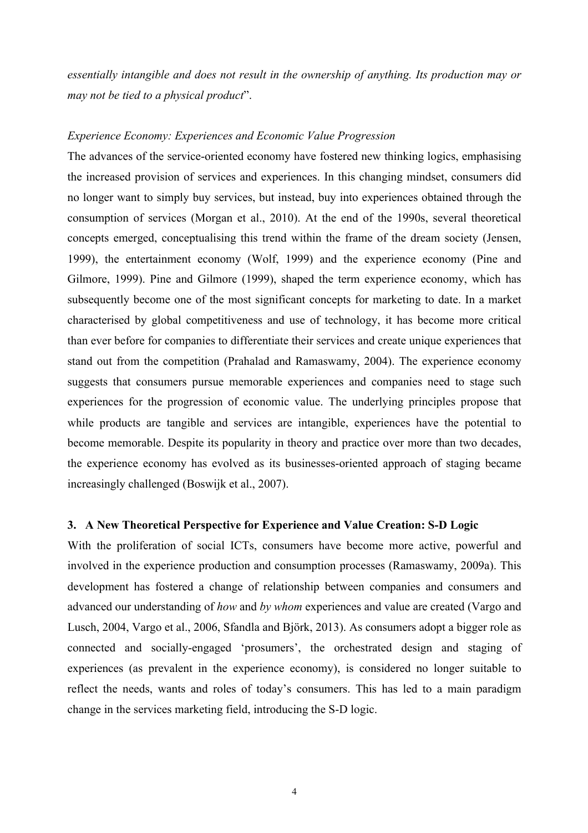*essentially intangible and does not result in the ownership of anything. Its production may or may not be tied to a physical product*".

## *Experience Economy: Experiences and Economic Value Progression*

The advances of the service-oriented economy have fostered new thinking logics, emphasising the increased provision of services and experiences. In this changing mindset, consumers did no longer want to simply buy services, but instead, buy into experiences obtained through the consumption of services (Morgan et al., 2010). At the end of the 1990s, several theoretical concepts emerged, conceptualising this trend within the frame of the dream society (Jensen, 1999), the entertainment economy (Wolf, 1999) and the experience economy (Pine and Gilmore, 1999). Pine and Gilmore (1999), shaped the term experience economy, which has subsequently become one of the most significant concepts for marketing to date. In a market characterised by global competitiveness and use of technology, it has become more critical than ever before for companies to differentiate their services and create unique experiences that stand out from the competition (Prahalad and Ramaswamy, 2004). The experience economy suggests that consumers pursue memorable experiences and companies need to stage such experiences for the progression of economic value. The underlying principles propose that while products are tangible and services are intangible, experiences have the potential to become memorable. Despite its popularity in theory and practice over more than two decades, the experience economy has evolved as its businesses-oriented approach of staging became increasingly challenged (Boswijk et al., 2007).

## **3. A New Theoretical Perspective for Experience and Value Creation: S-D Logic**

With the proliferation of social ICTs, consumers have become more active, powerful and involved in the experience production and consumption processes (Ramaswamy, 2009a). This development has fostered a change of relationship between companies and consumers and advanced our understanding of *how* and *by whom* experiences and value are created (Vargo and Lusch, 2004, Vargo et al., 2006, Sfandla and Björk, 2013). As consumers adopt a bigger role as connected and socially-engaged 'prosumers', the orchestrated design and staging of experiences (as prevalent in the experience economy), is considered no longer suitable to reflect the needs, wants and roles of today's consumers. This has led to a main paradigm change in the services marketing field, introducing the S-D logic.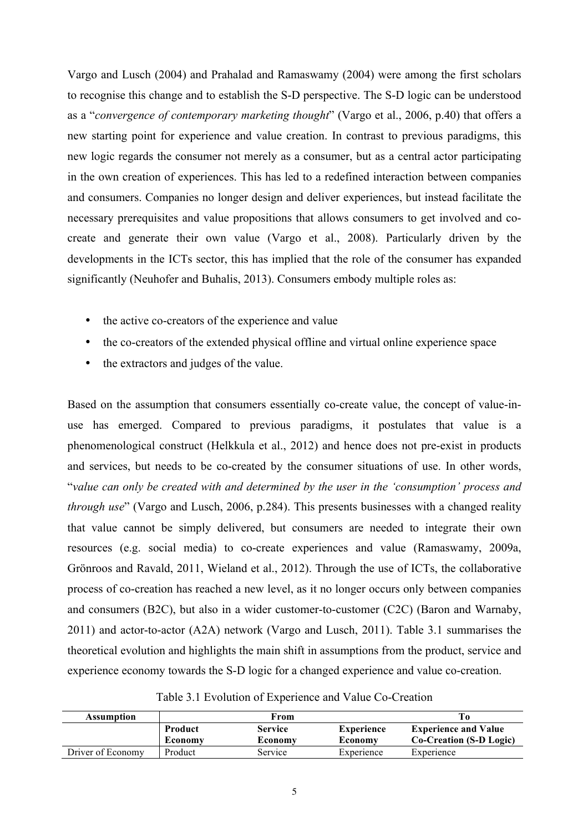Vargo and Lusch (2004) and Prahalad and Ramaswamy (2004) were among the first scholars to recognise this change and to establish the S-D perspective. The S-D logic can be understood as a "*convergence of contemporary marketing thought*" (Vargo et al., 2006, p.40) that offers a new starting point for experience and value creation. In contrast to previous paradigms, this new logic regards the consumer not merely as a consumer, but as a central actor participating in the own creation of experiences. This has led to a redefined interaction between companies and consumers. Companies no longer design and deliver experiences, but instead facilitate the necessary prerequisites and value propositions that allows consumers to get involved and cocreate and generate their own value (Vargo et al., 2008). Particularly driven by the developments in the ICTs sector, this has implied that the role of the consumer has expanded significantly (Neuhofer and Buhalis, 2013). Consumers embody multiple roles as:

- the active co-creators of the experience and value
- the co-creators of the extended physical offline and virtual online experience space
- the extractors and judges of the value.

Based on the assumption that consumers essentially co-create value, the concept of value-inuse has emerged. Compared to previous paradigms, it postulates that value is a phenomenological construct (Helkkula et al., 2012) and hence does not pre-exist in products and services, but needs to be co-created by the consumer situations of use. In other words, "*value can only be created with and determined by the user in the 'consumption' process and through use*" (Vargo and Lusch, 2006, p.284). This presents businesses with a changed reality that value cannot be simply delivered, but consumers are needed to integrate their own resources (e.g. social media) to co-create experiences and value (Ramaswamy, 2009a, Grönroos and Ravald, 2011, Wieland et al., 2012). Through the use of ICTs, the collaborative process of co-creation has reached a new level, as it no longer occurs only between companies and consumers (B2C), but also in a wider customer-to-customer (C2C) (Baron and Warnaby, 2011) and actor-to-actor (A2A) network (Vargo and Lusch, 2011). Table 3.1 summarises the theoretical evolution and highlights the main shift in assumptions from the product, service and experience economy towards the S-D logic for a changed experience and value co-creation.

| <b>Assumption</b> |                | From           |                   |                             |
|-------------------|----------------|----------------|-------------------|-----------------------------|
|                   | <b>Product</b> | <b>Service</b> | <b>Experience</b> | <b>Experience and Value</b> |
|                   | Economy        | Economy        | Economy           | Co-Creation (S-D Logic)     |
| Driver of Economy | Product        | Service        | Experience        | Experience                  |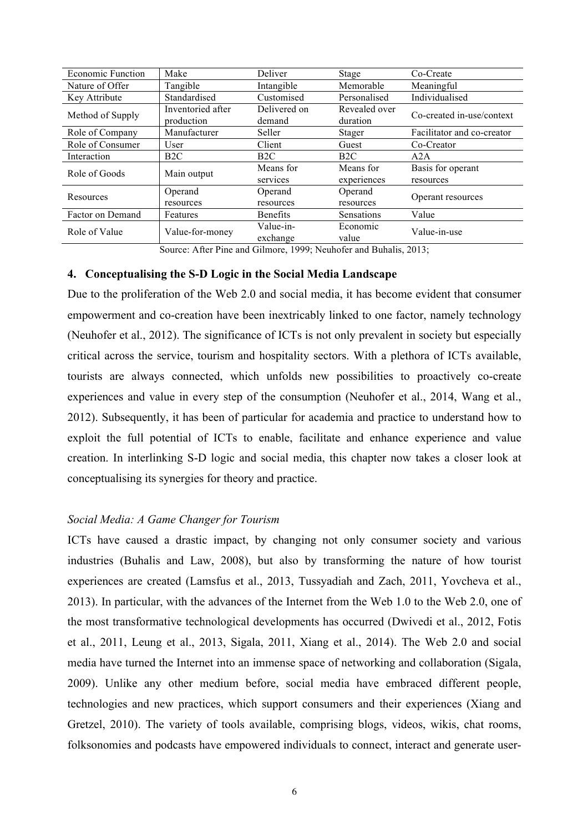| <b>Economic Function</b>         | Make                            | Deliver                | Stage                     | Co-Create                      |
|----------------------------------|---------------------------------|------------------------|---------------------------|--------------------------------|
| Nature of Offer                  | Tangible                        | Intangible             | Memorable                 | Meaningful                     |
| Key Attribute                    | Standardised                    | Customised             | Personalised              | Individualised                 |
| Method of Supply                 | Inventoried after<br>production | Delivered on<br>demand | Revealed over<br>duration | Co-created in-use/context      |
| Role of Company                  | Manufacturer                    | Seller                 | <b>Stager</b>             | Facilitator and co-creator     |
| Role of Consumer                 | User                            | Client                 | Guest                     | Co-Creator                     |
| Interaction                      | B2C                             | B2C                    | B2C                       | A2A                            |
| Role of Goods                    | Main output                     | Means for<br>services  | Means for<br>experiences  | Basis for operant<br>resources |
| Resources                        | Operand<br>resources            | Operand<br>resources   | Operand<br>resources      | Operant resources              |
| Factor on Demand                 | Features                        | <b>Benefits</b>        | Sensations                | Value                          |
| Role of Value<br>Value-for-money |                                 | Value-in-<br>exchange  | Economic<br>value         | Value-in-use                   |

Source: After Pine and Gilmore, 1999; Neuhofer and Buhalis, 2013;

# **4. Conceptualising the S-D Logic in the Social Media Landscape**

Due to the proliferation of the Web 2.0 and social media, it has become evident that consumer empowerment and co-creation have been inextricably linked to one factor, namely technology (Neuhofer et al., 2012). The significance of ICTs is not only prevalent in society but especially critical across the service, tourism and hospitality sectors. With a plethora of ICTs available, tourists are always connected, which unfolds new possibilities to proactively co-create experiences and value in every step of the consumption (Neuhofer et al., 2014, Wang et al., 2012). Subsequently, it has been of particular for academia and practice to understand how to exploit the full potential of ICTs to enable, facilitate and enhance experience and value creation. In interlinking S-D logic and social media, this chapter now takes a closer look at conceptualising its synergies for theory and practice.

# *Social Media: A Game Changer for Tourism*

ICTs have caused a drastic impact, by changing not only consumer society and various industries (Buhalis and Law, 2008), but also by transforming the nature of how tourist experiences are created (Lamsfus et al., 2013, Tussyadiah and Zach, 2011, Yovcheva et al., 2013). In particular, with the advances of the Internet from the Web 1.0 to the Web 2.0, one of the most transformative technological developments has occurred (Dwivedi et al., 2012, Fotis et al., 2011, Leung et al., 2013, Sigala, 2011, Xiang et al., 2014). The Web 2.0 and social media have turned the Internet into an immense space of networking and collaboration (Sigala, 2009). Unlike any other medium before, social media have embraced different people, technologies and new practices, which support consumers and their experiences (Xiang and Gretzel, 2010). The variety of tools available, comprising blogs, videos, wikis, chat rooms, folksonomies and podcasts have empowered individuals to connect, interact and generate user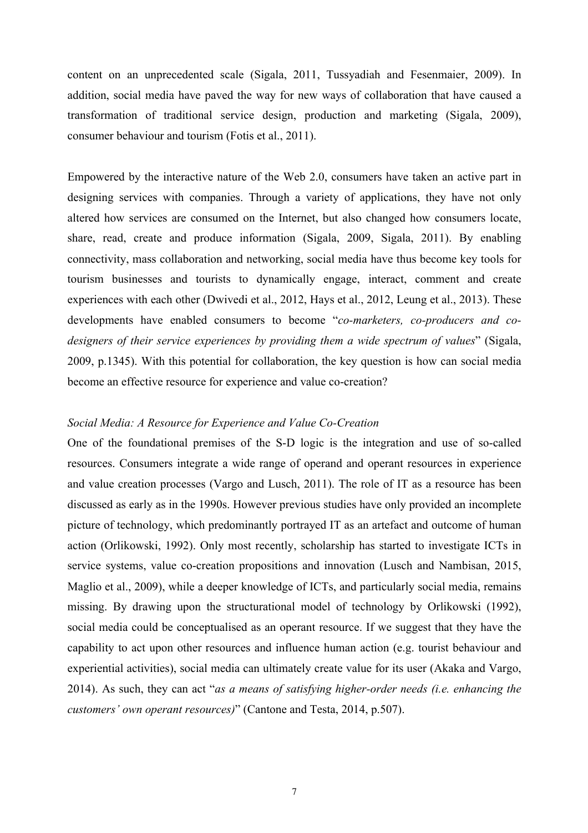content on an unprecedented scale (Sigala, 2011, Tussyadiah and Fesenmaier, 2009). In addition, social media have paved the way for new ways of collaboration that have caused a transformation of traditional service design, production and marketing (Sigala, 2009), consumer behaviour and tourism (Fotis et al., 2011).

Empowered by the interactive nature of the Web 2.0, consumers have taken an active part in designing services with companies. Through a variety of applications, they have not only altered how services are consumed on the Internet, but also changed how consumers locate, share, read, create and produce information (Sigala, 2009, Sigala, 2011). By enabling connectivity, mass collaboration and networking, social media have thus become key tools for tourism businesses and tourists to dynamically engage, interact, comment and create experiences with each other (Dwivedi et al., 2012, Hays et al., 2012, Leung et al., 2013). These developments have enabled consumers to become "*co-marketers, co-producers and codesigners of their service experiences by providing them a wide spectrum of values*" (Sigala, 2009, p.1345). With this potential for collaboration, the key question is how can social media become an effective resource for experience and value co-creation?

## *Social Media: A Resource for Experience and Value Co-Creation*

One of the foundational premises of the S-D logic is the integration and use of so-called resources. Consumers integrate a wide range of operand and operant resources in experience and value creation processes (Vargo and Lusch, 2011). The role of IT as a resource has been discussed as early as in the 1990s. However previous studies have only provided an incomplete picture of technology, which predominantly portrayed IT as an artefact and outcome of human action (Orlikowski, 1992). Only most recently, scholarship has started to investigate ICTs in service systems, value co-creation propositions and innovation (Lusch and Nambisan, 2015, Maglio et al., 2009), while a deeper knowledge of ICTs, and particularly social media, remains missing. By drawing upon the structurational model of technology by Orlikowski (1992), social media could be conceptualised as an operant resource. If we suggest that they have the capability to act upon other resources and influence human action (e.g. tourist behaviour and experiential activities), social media can ultimately create value for its user (Akaka and Vargo, 2014). As such, they can act "*as a means of satisfying higher-order needs (i.e. enhancing the customers' own operant resources)*" (Cantone and Testa, 2014, p.507).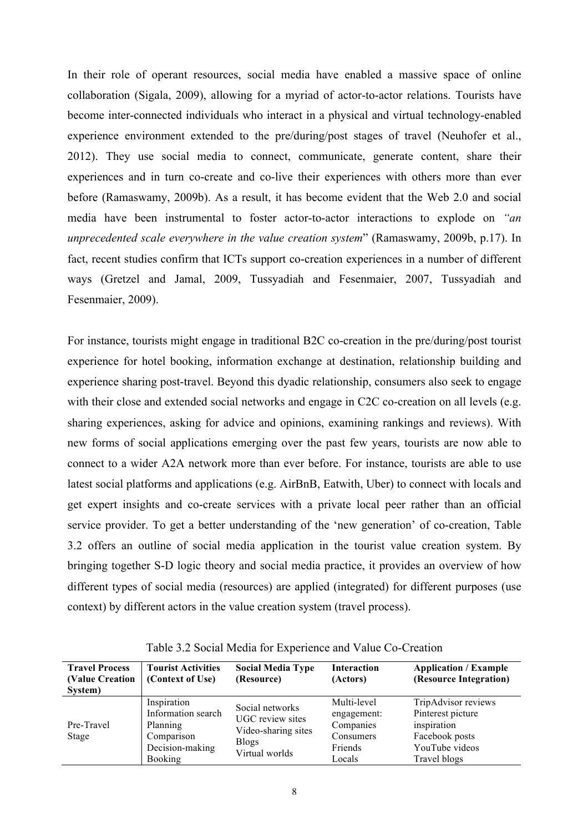In their role of operant resources, social media have enabled a massive space of online collaboration (Sigala, 2009), allowing for a myriad of actor-to-actor relations. Tourists have become inter-connected individuals who interact in a physical and virtual technology-enabled experience environment extended to the pre/during/post stages of travel (Neuhofer et al., 2012). They use social media to connect, communicate, generate content, share their experiences and in turn co-create and co-live their experiences with others more than ever before (Ramaswamy, 2009b). As a result, it has become evident that the Web 2.0 and social media have been instrumental to foster actor-to-actor interactions to explode on *"an unprecedented scale everywhere in the value creation system*" (Ramaswamy, 2009b, p.17). In fact, recent studies confirm that ICTs support co-creation experiences in a number of different ways (Gretzel and Jamal, 2009, Tussyadiah and Fesenmaier, 2007, Tussyadiah and Fesenmaier, 2009).

For instance, tourists might engage in traditional B2C co-creation in the pre/during/post tourist experience for hotel booking, information exchange at destination, relationship building and experience sharing post-travel. Beyond this dyadic relationship, consumers also seek to engage with their close and extended social networks and engage in C2C co-creation on all levels (e.g. sharing experiences, asking for advice and opinions, examining rankings and reviews). With new forms of social applications emerging over the past few years, tourists are now able to connect to a wider A2A network more than ever before. For instance, tourists are able to use latest social platforms and applications (e.g. AirBnB, Eatwith, Uber) to connect with locals and get expert insights and co-create services with a private local peer rather than an official service provider. To get a better understanding of the 'new generation' of co-creation, Table 3.2 offers an outline of social media application in the tourist value creation system. By bringing together S-D logic theory and social media practice, it provides an overview of how different types of social media (resources) are applied (integrated) for different purposes (use context) by different actors in the value creation system (travel process).

| <b>Travel Process</b><br>(Value Creation<br>System) | <b>Tourist Activities</b><br>(Context of Use)                                                    | <b>Social Media Type</b><br>(Resource)                                                              | <b>Interaction</b><br>(Actors)                                            | <b>Application / Example</b><br>(Resource Integration)                                                      |
|-----------------------------------------------------|--------------------------------------------------------------------------------------------------|-----------------------------------------------------------------------------------------------------|---------------------------------------------------------------------------|-------------------------------------------------------------------------------------------------------------|
| Pre-Travel<br>Stage                                 | Inspiration<br>Information search<br>Planning<br>Comparison<br>Decision-making<br><b>Booking</b> | Social networks<br><b>UGC</b> review sites<br>Video-sharing sites<br><b>Blogs</b><br>Virtual worlds | Multi-level<br>engagement:<br>Companies<br>Consumers<br>Friends<br>Locals | TripAdvisor reviews<br>Pinterest picture<br>inspiration<br>Facebook posts<br>YouTube videos<br>Travel blogs |

Table 3.2 Social Media for Experience and Value Co-Creation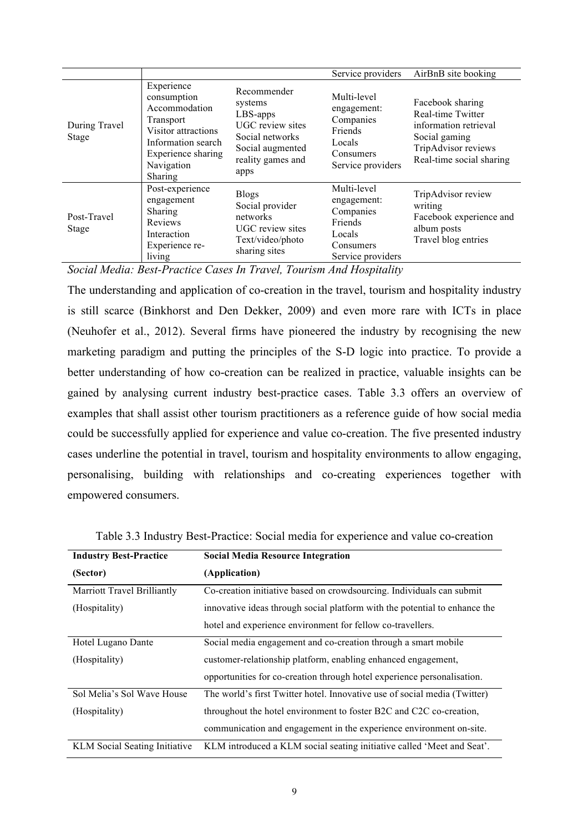|                             |                                                                                                                                                     |                                                                                                                                   | Service providers                                                                              | AirBnB site booking                                                                                                                |
|-----------------------------|-----------------------------------------------------------------------------------------------------------------------------------------------------|-----------------------------------------------------------------------------------------------------------------------------------|------------------------------------------------------------------------------------------------|------------------------------------------------------------------------------------------------------------------------------------|
| During Travel<br>Stage      | Experience<br>consumption<br>Accommodation<br>Transport<br>Visitor attractions<br>Information search<br>Experience sharing<br>Navigation<br>Sharing | Recommender<br>systems<br>LBS-apps<br><b>UGC</b> review sites<br>Social networks<br>Social augmented<br>reality games and<br>apps | Multi-level<br>engagement:<br>Companies<br>Friends<br>Locals<br>Consumers<br>Service providers | Facebook sharing<br>Real-time Twitter<br>information retrieval<br>Social gaming<br>TripAdvisor reviews<br>Real-time social sharing |
| Post-Travel<br><b>Stage</b> | Post-experience<br>engagement<br>Sharing<br>Reviews<br>Interaction<br>Experience re-<br>living                                                      | <b>Blogs</b><br>Social provider<br>networks<br>UGC review sites<br>Text/video/photo<br>sharing sites                              | Multi-level<br>engagement:<br>Companies<br>Friends<br>Locals<br>Consumers<br>Service providers | TripAdvisor review<br>writing<br>Facebook experience and<br>album posts<br>Travel blog entries                                     |

*Social Media: Best-Practice Cases In Travel, Tourism And Hospitality*

The understanding and application of co-creation in the travel, tourism and hospitality industry is still scarce (Binkhorst and Den Dekker, 2009) and even more rare with ICTs in place (Neuhofer et al., 2012). Several firms have pioneered the industry by recognising the new marketing paradigm and putting the principles of the S-D logic into practice. To provide a better understanding of how co-creation can be realized in practice, valuable insights can be gained by analysing current industry best-practice cases. Table 3.3 offers an overview of examples that shall assist other tourism practitioners as a reference guide of how social media could be successfully applied for experience and value co-creation. The five presented industry cases underline the potential in travel, tourism and hospitality environments to allow engaging, personalising, building with relationships and co-creating experiences together with empowered consumers.

| <b>Industry Best-Practice</b>        | <b>Social Media Resource Integration</b>                                   |
|--------------------------------------|----------------------------------------------------------------------------|
| (Sector)                             | (Application)                                                              |
| Marriott Travel Brilliantly          | Co-creation initiative based on crowdsourcing. Individuals can submit      |
| (Hospitality)                        | innovative ideas through social platform with the potential to enhance the |
|                                      | hotel and experience environment for fellow co-travellers.                 |
| Hotel Lugano Dante                   | Social media engagement and co-creation through a smart mobile             |
| (Hospitality)                        | customer-relationship platform, enabling enhanced engagement,              |
|                                      | opportunities for co-creation through hotel experience personalisation.    |
| Sol Melia's Sol Wave House           | The world's first Twitter hotel. Innovative use of social media (Twitter)  |
| (Hospitality)                        | throughout the hotel environment to foster B2C and C2C co-creation,        |
|                                      | communication and engagement in the experience environment on-site.        |
| <b>KLM</b> Social Seating Initiative | KLM introduced a KLM social seating initiative called 'Meet and Seat'.     |

Table 3.3 Industry Best-Practice: Social media for experience and value co-creation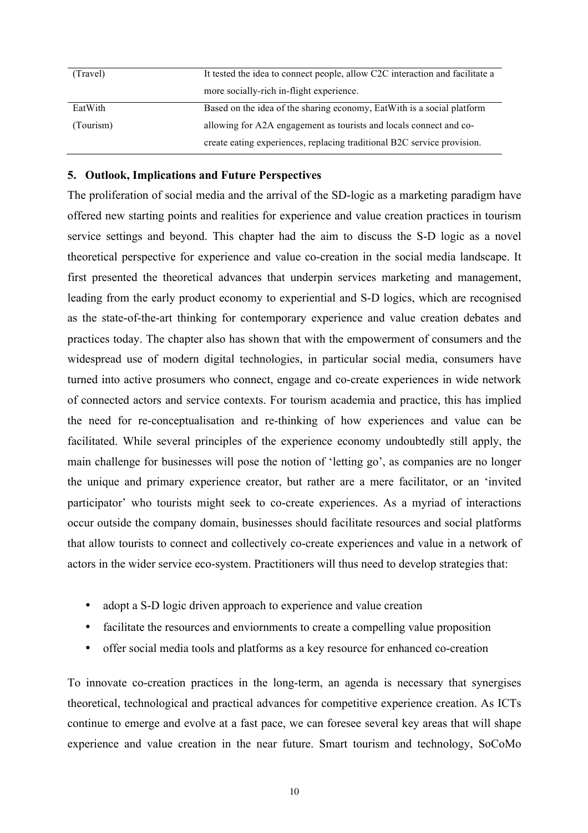| (Travel)  | It tested the idea to connect people, allow C2C interaction and facilitate a |
|-----------|------------------------------------------------------------------------------|
|           |                                                                              |
|           | more socially-rich in-flight experience.                                     |
|           |                                                                              |
| EatWith   | Based on the idea of the sharing economy, EatWith is a social platform       |
|           |                                                                              |
| (Tourism) | allowing for A2A engagement as tourists and locals connect and co-           |
|           |                                                                              |
|           |                                                                              |
|           | create eating experiences, replacing traditional B2C service provision.      |

# **5. Outlook, Implications and Future Perspectives**

The proliferation of social media and the arrival of the SD-logic as a marketing paradigm have offered new starting points and realities for experience and value creation practices in tourism service settings and beyond. This chapter had the aim to discuss the S-D logic as a novel theoretical perspective for experience and value co-creation in the social media landscape. It first presented the theoretical advances that underpin services marketing and management, leading from the early product economy to experiential and S-D logics, which are recognised as the state-of-the-art thinking for contemporary experience and value creation debates and practices today. The chapter also has shown that with the empowerment of consumers and the widespread use of modern digital technologies, in particular social media, consumers have turned into active prosumers who connect, engage and co-create experiences in wide network of connected actors and service contexts. For tourism academia and practice, this has implied the need for re-conceptualisation and re-thinking of how experiences and value can be facilitated. While several principles of the experience economy undoubtedly still apply, the main challenge for businesses will pose the notion of 'letting go', as companies are no longer the unique and primary experience creator, but rather are a mere facilitator, or an 'invited participator' who tourists might seek to co-create experiences. As a myriad of interactions occur outside the company domain, businesses should facilitate resources and social platforms that allow tourists to connect and collectively co-create experiences and value in a network of actors in the wider service eco-system. Practitioners will thus need to develop strategies that:

- adopt a S-D logic driven approach to experience and value creation
- facilitate the resources and enviornments to create a compelling value proposition
- offer social media tools and platforms as a key resource for enhanced co-creation

To innovate co-creation practices in the long-term, an agenda is necessary that synergises theoretical, technological and practical advances for competitive experience creation. As ICTs continue to emerge and evolve at a fast pace, we can foresee several key areas that will shape experience and value creation in the near future. Smart tourism and technology, SoCoMo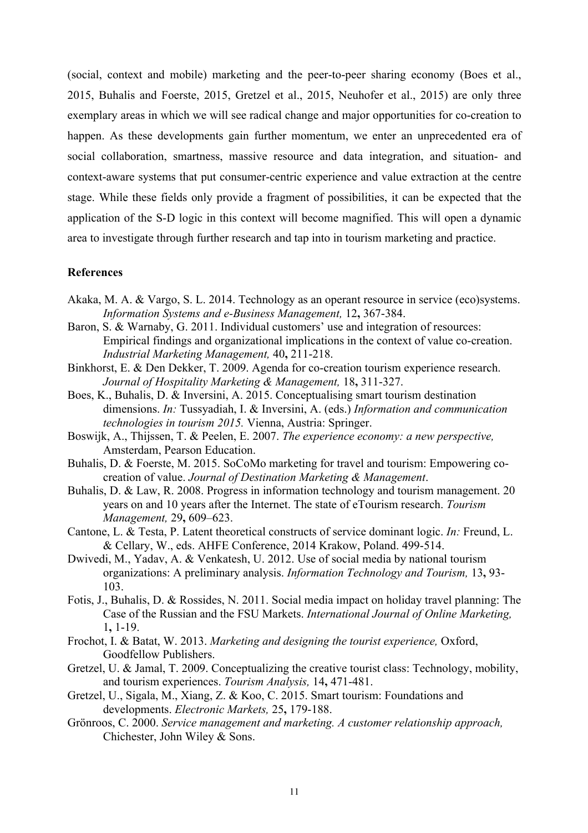(social, context and mobile) marketing and the peer-to-peer sharing economy (Boes et al., 2015, Buhalis and Foerste, 2015, Gretzel et al., 2015, Neuhofer et al., 2015) are only three exemplary areas in which we will see radical change and major opportunities for co-creation to happen. As these developments gain further momentum, we enter an unprecedented era of social collaboration, smartness, massive resource and data integration, and situation- and context-aware systems that put consumer-centric experience and value extraction at the centre stage. While these fields only provide a fragment of possibilities, it can be expected that the application of the S-D logic in this context will become magnified. This will open a dynamic area to investigate through further research and tap into in tourism marketing and practice.

## **References**

- Akaka, M. A. & Vargo, S. L. 2014. Technology as an operant resource in service (eco)systems. *Information Systems and e-Business Management,* 12**,** 367-384.
- Baron, S. & Warnaby, G. 2011. Individual customers' use and integration of resources: Empirical findings and organizational implications in the context of value co-creation. *Industrial Marketing Management,* 40**,** 211-218.
- Binkhorst, E. & Den Dekker, T. 2009. Agenda for co-creation tourism experience research. *Journal of Hospitality Marketing & Management,* 18**,** 311-327.
- Boes, K., Buhalis, D. & Inversini, A. 2015. Conceptualising smart tourism destination dimensions. *In:* Tussyadiah, I. & Inversini, A. (eds.) *Information and communication technologies in tourism 2015.* Vienna, Austria: Springer.
- Boswijk, A., Thijssen, T. & Peelen, E. 2007. *The experience economy: a new perspective,*  Amsterdam, Pearson Education.
- Buhalis, D. & Foerste, M. 2015. SoCoMo marketing for travel and tourism: Empowering cocreation of value. *Journal of Destination Marketing & Management*.
- Buhalis, D. & Law, R. 2008. Progress in information technology and tourism management. 20 years on and 10 years after the Internet. The state of eTourism research. *Tourism Management,* 29**,** 609–623.
- Cantone, L. & Testa, P. Latent theoretical constructs of service dominant logic. *In:* Freund, L. & Cellary, W., eds. AHFE Conference, 2014 Krakow, Poland. 499-514.
- Dwivedi, M., Yadav, A. & Venkatesh, U. 2012. Use of social media by national tourism organizations: A preliminary analysis. *Information Technology and Tourism,* 13**,** 93- 103.
- Fotis, J., Buhalis, D. & Rossides, N. 2011. Social media impact on holiday travel planning: The Case of the Russian and the FSU Markets. *International Journal of Online Marketing,* 1**,** 1-19.
- Frochot, I. & Batat, W. 2013. *Marketing and designing the tourist experience,* Oxford, Goodfellow Publishers.
- Gretzel, U. & Jamal, T. 2009. Conceptualizing the creative tourist class: Technology, mobility, and tourism experiences. *Tourism Analysis,* 14**,** 471-481.
- Gretzel, U., Sigala, M., Xiang, Z. & Koo, C. 2015. Smart tourism: Foundations and developments. *Electronic Markets,* 25**,** 179-188.
- Grönroos, C. 2000. *Service management and marketing. A customer relationship approach,*  Chichester, John Wiley & Sons.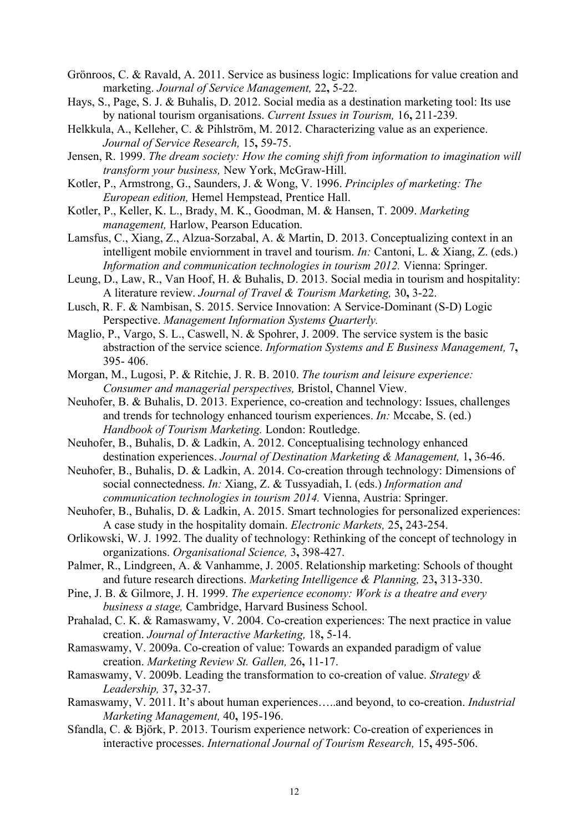- Grönroos, C. & Ravald, A. 2011. Service as business logic: Implications for value creation and marketing. *Journal of Service Management,* 22**,** 5-22.
- Hays, S., Page, S. J. & Buhalis, D. 2012. Social media as a destination marketing tool: Its use by national tourism organisations. *Current Issues in Tourism,* 16**,** 211-239.
- Helkkula, A., Kelleher, C. & Pihlström, M. 2012. Characterizing value as an experience. *Journal of Service Research,* 15**,** 59-75.
- Jensen, R. 1999. *The dream society: How the coming shift from information to imagination will transform your business,* New York, McGraw-Hill.
- Kotler, P., Armstrong, G., Saunders, J. & Wong, V. 1996. *Principles of marketing: The European edition,* Hemel Hempstead, Prentice Hall.
- Kotler, P., Keller, K. L., Brady, M. K., Goodman, M. & Hansen, T. 2009. *Marketing management,* Harlow, Pearson Education.
- Lamsfus, C., Xiang, Z., Alzua-Sorzabal, A. & Martin, D. 2013. Conceptualizing context in an intelligent mobile enviornment in travel and tourism. *In:* Cantoni, L. & Xiang, Z. (eds.) *Information and communication technologies in tourism 2012.* Vienna: Springer.
- Leung, D., Law, R., Van Hoof, H. & Buhalis, D. 2013. Social media in tourism and hospitality: A literature review. *Journal of Travel & Tourism Marketing,* 30**,** 3-22.
- Lusch, R. F. & Nambisan, S. 2015. Service Innovation: A Service-Dominant (S-D) Logic Perspective. *Management Information Systems Quarterly.*
- Maglio, P., Vargo, S. L., Caswell, N. & Spohrer, J. 2009. The service system is the basic abstraction of the service science. *Information Systems and E Business Management,* 7**,** 395- 406.
- Morgan, M., Lugosi, P. & Ritchie, J. R. B. 2010. *The tourism and leisure experience: Consumer and managerial perspectives,* Bristol, Channel View.
- Neuhofer, B. & Buhalis, D. 2013. Experience, co-creation and technology: Issues, challenges and trends for technology enhanced tourism experiences. *In:* Mccabe, S. (ed.) *Handbook of Tourism Marketing.* London: Routledge.
- Neuhofer, B., Buhalis, D. & Ladkin, A. 2012. Conceptualising technology enhanced destination experiences. *Journal of Destination Marketing & Management,* 1**,** 36-46.
- Neuhofer, B., Buhalis, D. & Ladkin, A. 2014. Co-creation through technology: Dimensions of social connectedness. *In:* Xiang, Z. & Tussyadiah, I. (eds.) *Information and communication technologies in tourism 2014.* Vienna, Austria: Springer.
- Neuhofer, B., Buhalis, D. & Ladkin, A. 2015. Smart technologies for personalized experiences: A case study in the hospitality domain. *Electronic Markets,* 25**,** 243-254.
- Orlikowski, W. J. 1992. The duality of technology: Rethinking of the concept of technology in organizations. *Organisational Science,* 3**,** 398-427.
- Palmer, R., Lindgreen, A. & Vanhamme, J. 2005. Relationship marketing: Schools of thought and future research directions. *Marketing Intelligence & Planning,* 23**,** 313-330.
- Pine, J. B. & Gilmore, J. H. 1999. *The experience economy: Work is a theatre and every business a stage,* Cambridge, Harvard Business School.
- Prahalad, C. K. & Ramaswamy, V. 2004. Co-creation experiences: The next practice in value creation. *Journal of Interactive Marketing,* 18**,** 5-14.
- Ramaswamy, V. 2009a. Co-creation of value: Towards an expanded paradigm of value creation. *Marketing Review St. Gallen,* 26**,** 11-17.
- Ramaswamy, V. 2009b. Leading the transformation to co-creation of value. *Strategy & Leadership,* 37**,** 32-37.
- Ramaswamy, V. 2011. It's about human experiences…..and beyond, to co-creation. *Industrial Marketing Management,* 40**,** 195-196.
- Sfandla, C. & Björk, P. 2013. Tourism experience network: Co-creation of experiences in interactive processes. *International Journal of Tourism Research,* 15**,** 495-506.